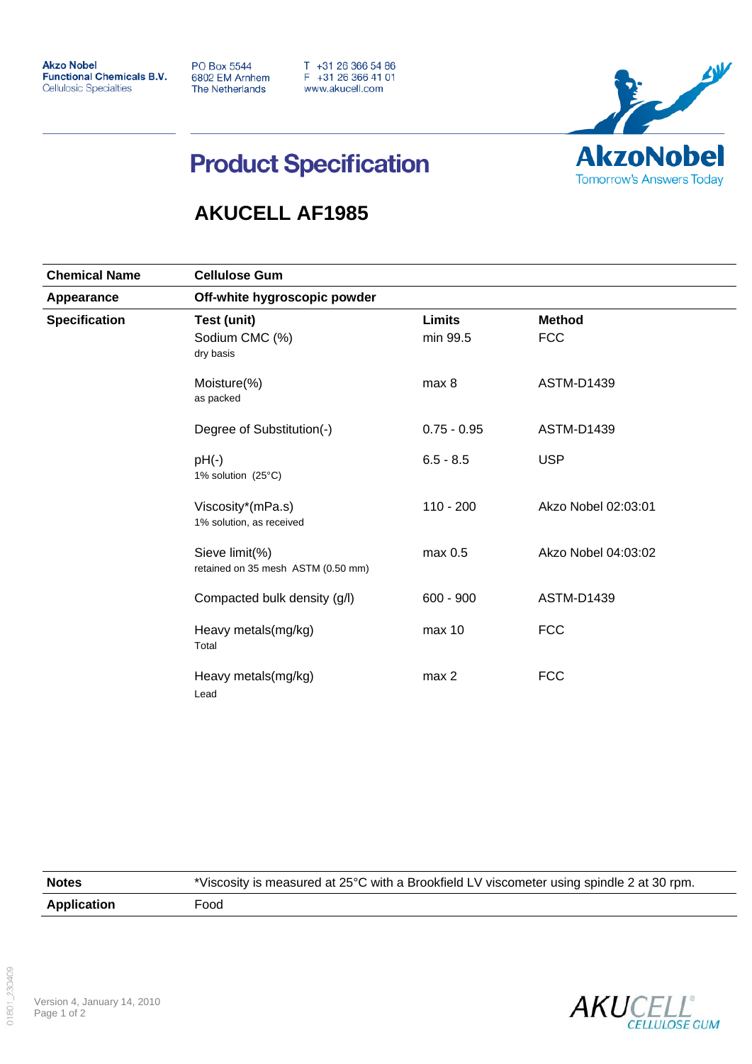**Akzo Nobel Functional Chemicals B.V. Cellulosic Specialties** 

**PO Box 5544** 6802 EM Arnhem The Netherlands

T +31 26 366 54 86<br>F +31 26 366 41 01 www.akucell.com



## **Product Specification**

## **AKUCELL AF1985**

| <b>Chemical Name</b><br>Appearance<br><b>Specification</b> | <b>Cellulose Gum</b><br>Off-white hygroscopic powder |                          |                     |                   |
|------------------------------------------------------------|------------------------------------------------------|--------------------------|---------------------|-------------------|
|                                                            |                                                      |                          |                     |                   |
|                                                            |                                                      | Moisture(%)<br>as packed | max 8               | <b>ASTM-D1439</b> |
|                                                            | Degree of Substitution(-)                            | $0.75 - 0.95$            | <b>ASTM-D1439</b>   |                   |
|                                                            | $pH(-)$<br>1% solution $(25^{\circ}C)$               | $6.5 - 8.5$              | <b>USP</b>          |                   |
|                                                            | Viscosity*(mPa.s)<br>1% solution, as received        | $110 - 200$              | Akzo Nobel 02:03:01 |                   |
|                                                            | Sieve limit(%)<br>retained on 35 mesh ASTM (0.50 mm) | max 0.5                  | Akzo Nobel 04:03:02 |                   |
|                                                            | Compacted bulk density (g/l)                         | $600 - 900$              | ASTM-D1439          |                   |
|                                                            | Heavy metals(mg/kg)<br>Total                         | max 10                   | <b>FCC</b>          |                   |
|                                                            | Heavy metals(mg/kg)<br>Lead                          | max <sub>2</sub>         | <b>FCC</b>          |                   |

| <b>Notes</b>       | *Viscosity is measured at 25°C with a Brookfield LV viscometer using spindle 2 at 30 rpm. |
|--------------------|-------------------------------------------------------------------------------------------|
| <b>Application</b> | Food                                                                                      |